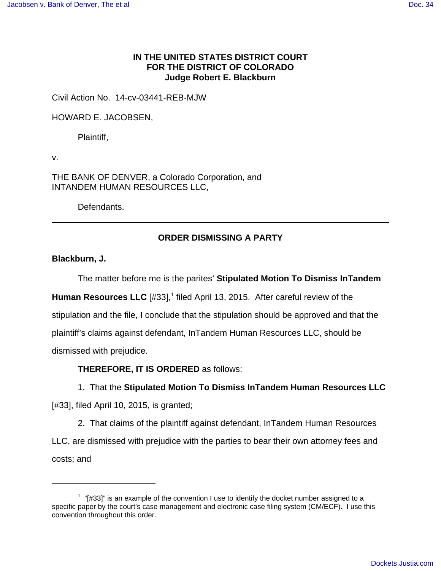## **IN THE UNITED STATES DISTRICT COURT FOR THE DISTRICT OF COLORADO Judge Robert E. Blackburn**

Civil Action No. 14-cv-03441-REB-MJW

HOWARD E. JACOBSEN,

Plaintiff,

v.

THE BANK OF DENVER, a Colorado Corporation, and INTANDEM HUMAN RESOURCES LLC,

Defendants.

## **ORDER DISMISSING A PARTY**

**Blackburn, J.**

The matter before me is the parites' **Stipulated Motion To Dismiss InTandem**

Human Resources LLC [#33],<sup>1</sup> filed April 13, 2015. After careful review of the stipulation and the file, I conclude that the stipulation should be approved and that the plaintiff's claims against defendant, InTandem Human Resources LLC, should be dismissed with prejudice.

**THEREFORE, IT IS ORDERED** as follows:

## 1. That the **Stipulated Motion To Dismiss InTandem Human Resources LLC**

[#33], filed April 10, 2015, is granted;

2. That claims of the plaintiff against defendant, InTandem Human Resources LLC, are dismissed with prejudice with the parties to bear their own attorney fees and costs; and

 $1$  "[#33]" is an example of the convention I use to identify the docket number assigned to a specific paper by the court's case management and electronic case filing system (CM/ECF). I use this convention throughout this order.